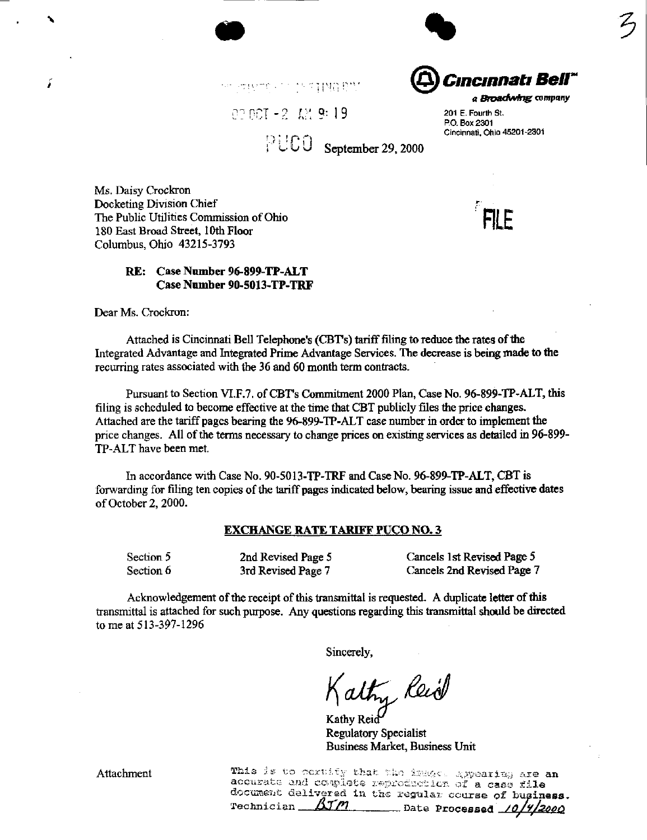

interme unit in stag WalerMit

 $0.7 \, 0.7 - 2 = 1.2$  9: 1 9 201 E. Fourth St.

P.O. Box 2301

Cincinnati, Ohio 45201-2301

a Broadwing company

 $PUCO$  September 29, 2000

Ms. Daisy Crockron Docketing Division Chief ,^ The Public Utilities Commission of Ohio 180 East Broad Street, 10th Floor Columbus, Ohio 43215-3793

# RE: Case Number 96-899-TP-ALT Case Number 90-5013-TP-TRF

Dear Ms. Crockron:

í

Attached is Cincinnati Bell Telephone's (CBT's) tariff filing to reduce the rates of the Integrated Advantage and Integrated Prime Advantage Services. The decrease is being made to the recurring rates associated with the 36 and 60 month term contracts.

Pursuant to Section VI.F.7. of CBT's Commitment 2000 Plan, Case No. 96-899-TP-ALT, this filing is scheduled to become effective at the time that CBT publicly files the price changes. Attached are the tariff pages bearing the 96-899-TP-ALT case number in order to implement the price changes. All of the terms necessary to change prices on existing services as detailed in 96-899- TP-ALT have been met.

In accordance with Case No. 90-5013-TP-TRF and Case No. 96-899-TP-ALT, CBT is forwarding for filing ten copies of the tariff pages indicated below, bearing issue and effective dates of October 2, 2000.

### EXCHANGE RATE TARIFF PUCO NO. 3

Section 5 2nd Revised Page 5 Cancels 1st Revised Page 5 Section 6 3rd Revised Page 7 Cancels 2nd Revised Page 7

Acknowledgement of the receipt of this transmittal is requested. A duplicate letter of this transmittal is attached for such purpose. Any questions regarding this transmittal should be directed to me at 513-397-1296

Sincerely,

alty Keid

Kathy Reid Regulatory Specialist Business Market, Business Unit

Attachment ^ ` '' '' This is to pertity that the 1324.00 appearing are an accurate and coaplete reproduction of a case file doc-airiei2t deXivjrad In the regula r coars e of business BJM Date Processed 10/4/2000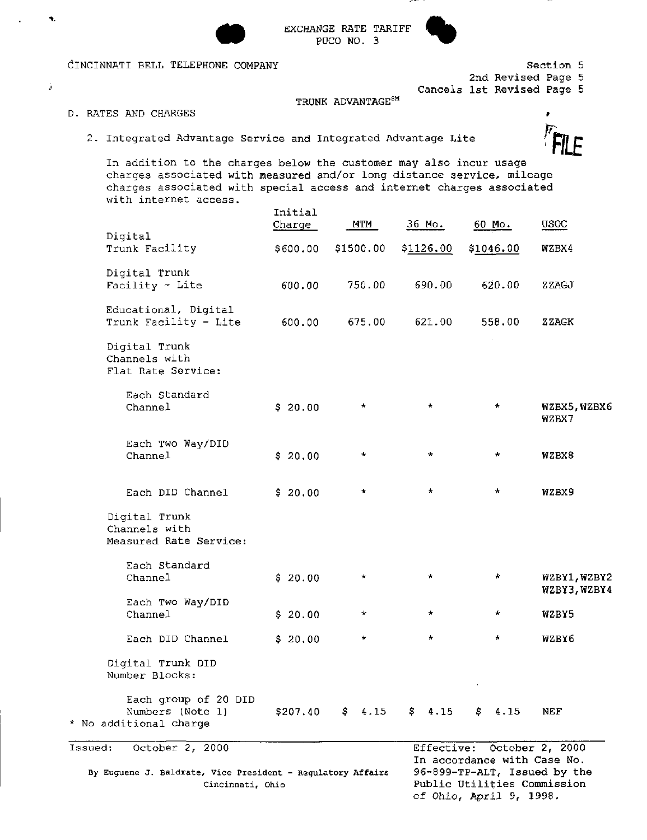

EXCHANGE RATE TARIFF PUCO NO. 3



CINCINNATI BELL TELEPHONE COMPANY

Section 5 2nd Revised Page 5

Cancels 1st Revised Page 5

## TRUNK ADVANTAGE<sup>SM</sup>

D. RATES AND CHARGES

 $\mathbf{R}$ 

Ĵ.

RATES AND CHARGES<br>2. Integrated Advantage Service and Integrated Advantage Lite r. R. R. R. R.

In addition to the charges below the customer may also incur usage charges associated with measured and/or long distance service, mileage charges associated with special access and internet charges associated with internet access.

|                                                                                                               | Initial<br>Charge | <b>MTM</b>        | 36 Mo.     | $60$ Mo.                                                                                   | <b>USOC</b>                  |
|---------------------------------------------------------------------------------------------------------------|-------------------|-------------------|------------|--------------------------------------------------------------------------------------------|------------------------------|
| Digital<br>Trunk Facility                                                                                     | \$600.00          | \$1500.00         | \$1126.00  | \$1046.00                                                                                  | WZBX4                        |
| Digital Trunk<br>Facility $\sim$ Lite                                                                         | 600.00            | 750.00            | 690.00     | 620.00                                                                                     | ZZAGJ                        |
| Educational, Digital<br>Trunk Facility - Lite                                                                 | 600.00            | 675.00            | 621.00     | 558.00                                                                                     | ZZAGK                        |
| Digital Trunk<br>Channels with<br>Flat Rate Service:                                                          |                   |                   |            |                                                                                            |                              |
| Each Standard<br>Channel                                                                                      | \$20.00           | *                 | $\star$    | $\ast$                                                                                     | WZBX5, WZBX6<br>WZBX7        |
| Each Two Way/DID<br>Channel                                                                                   | \$20.00           | *                 | $\star$    | $\star$                                                                                    | WZBX8                        |
| Each DID Channel                                                                                              | \$20.00           | ۰                 | $\star$    | $\star$                                                                                    | WZBX9                        |
| Digital Trunk<br>Channels with<br>Measured Rate Service:                                                      |                   |                   |            |                                                                                            |                              |
| Each Standard<br>Channel                                                                                      | \$20.00           | *                 | *          | *                                                                                          | WZBY1, WZBY2<br>WZBY3, WZBY4 |
| Each Two Way/DID<br>Channel                                                                                   | \$20.00           | *                 | *          | $\star$                                                                                    | WZBY5                        |
| Each DID Channel                                                                                              | \$20.00           | *                 | $\star$    | $\pm$                                                                                      | WZBY6                        |
| Digital Trunk DID<br>Number Blocks:                                                                           |                   |                   |            |                                                                                            |                              |
| Each group of 20 DID<br>Numbers (Note 1)<br>* No additional charge                                            |                   | $$207.40$ \$ 4.15 | \$4.15     | \$4.15                                                                                     | NEF                          |
| October 2, 2000<br>Issued:<br>By Euguene J. Baldrate, Vice President - Regulatory Affairs<br>Cincinnati, Ohio |                   |                   | Effective: | In accordance with Case No.<br>96-899-TP-ALT, Issued by the<br>Public Utilities Commission | October 2, 2000              |

Public Utilities Commission of Ohio, April 9, 1998.